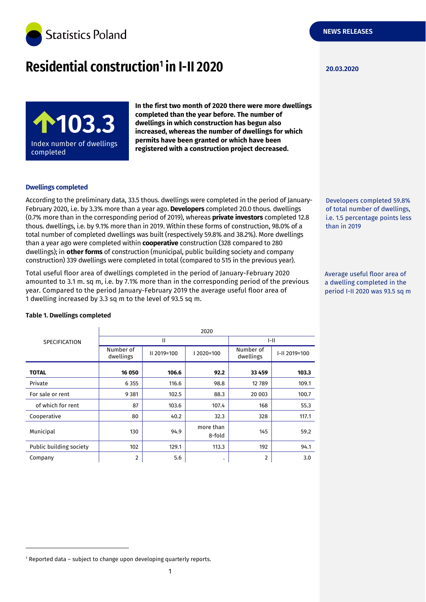

# **Residential construction<sup>1</sup> in I-II 2020 120.03.2020**



**In the first two month of 2020 there were more dwellings completed than the year before. The number of dwellings in which construction has begun also increased, whereas the number of dwellings for which permits have been granted or which have been registered with a construction project decreased.**

### **Dwellings completed**

According to the preliminary data, 33.5 thous. dwellings were completed in the period of January-February 2020, i.e. by 3.3% more than a year ago. **Developers** completed 20.0 thous. dwellings (0.7% more than in the corresponding period of 2019), whereas **private investors** completed 12.8 thous. dwellings, i.e. by 9.1% more than in 2019. Within these forms of construction, 98.0% of a total number of completed dwellings was built (respectively 59.8% and 38.2%). More dwellings than a year ago were completed within **cooperative** construction (328 compared to 280 dwellings); in **other forms** of construction (municipal, public building society and company construction) 339 dwellings were completed in total (compared to 515 in the previous year).

Total useful floor area of dwellings completed in the period of January-February 2020 amounted to 3.1 m. sq m, i.e. by 7.1% more than in the corresponding period of the previous year. Compared to the period January-February 2019 the average useful floor area of 1 dwelling increased by 3.3 sq m to the level of 93.5 sq m.

than in 2019

Developers completed 59.8% of total number of dwellings, i.e. 1.5 percentage points less

Average useful floor area of a dwelling completed in the period I-II 2020 was 93.5 sq m

| <b>SPECIFICATION</b>    | 2020                   |             |                     |                        |               |  |
|-------------------------|------------------------|-------------|---------------------|------------------------|---------------|--|
|                         | Ш                      |             |                     | $ -   $                |               |  |
|                         | Number of<br>dwellings | II 2019=100 | 12020=100           | Number of<br>dwellings | I-II 2019=100 |  |
| <b>TOTAL</b>            | 16 050                 | 106.6       | 92.2                | 33 4 59                | 103.3         |  |
| Private                 | 6 3 5 5                | 116.6       | 98.8                | 12789                  | 109.1         |  |
| For sale or rent        | 9 3 8 1                | 102.5       | 88.3                | 20 003                 | 100.7         |  |
| of which for rent       | 87                     | 103.6       | 107.4               | 168                    | 55.3          |  |
| Cooperative             | 80                     | 40.2        | 32.3                | 328                    | 117.1         |  |
| Municipal               | 130                    | 94.9        | more than<br>8-fold | 145                    | 59.2          |  |
| Public building society | 102                    | 129.1       | 113.3               | 192                    | 94.1          |  |
| Company                 | $\overline{2}$         | 5.6         | ٠                   | 2                      | 3.0           |  |

### **Table 1. Dwellings completed**

-

<sup>&</sup>lt;sup>1</sup> Reported data - subject to change upon developing quarterly reports.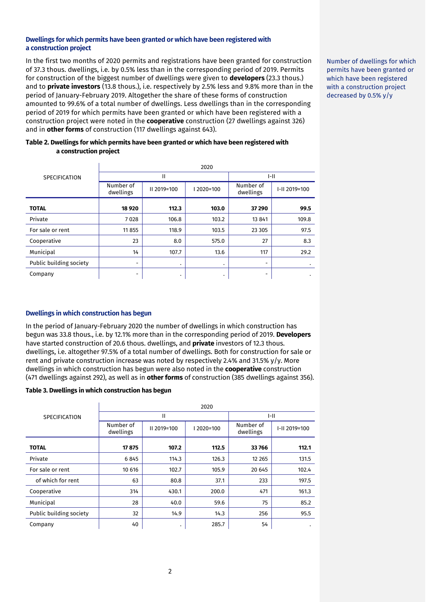### **Dwellings for which permits have been granted or which have been registered with a construction project**

In the first two months of 2020 permits and registrations have been granted for construction of 37.3 thous. dwellings, i.e. by 0.5% less than in the corresponding period of 2019. Permits for construction of the biggest number of dwellings were given to **developers** (23.3 thous.) and to **private investors** (13.8 thous.), i.e. respectively by 2.5% less and 9.8% more than in the period of January-February 2019. Altogether the share of these forms of construction amounted to 99.6% of a total number of dwellings. Less dwellings than in the corresponding period of 2019 for which permits have been granted or which have been registered with a construction project were noted in the **cooperative** construction (27 dwellings against 326) and in **other forms** of construction (117 dwellings against 643).

## **Table 2. Dwellings for which permits have been granted or which have been registered with a construction project**

|                         | 2020                   |             |          |                          |               |  |
|-------------------------|------------------------|-------------|----------|--------------------------|---------------|--|
| <b>SPECIFICATION</b>    | Ш                      |             |          | I-II                     |               |  |
|                         | Number of<br>dwellings | II 2019=100 | 2020=100 | Number of<br>dwellings   | I-II 2019=100 |  |
| <b>TOTAL</b>            | 18 9 20                | 112.3       | 103.0    | 37 290                   | 99.5          |  |
| Private                 | 7028                   | 106.8       | 103.2    | 13 841                   | 109.8         |  |
| For sale or rent        | 11 855                 | 118.9       | 103.5    | 23 3 05                  | 97.5          |  |
| Cooperative             | 23                     | 8.0         | 575.0    | 27                       | 8.3           |  |
| Municipal               | 14                     | 107.7       | 13.6     | 117                      | 29.2          |  |
| Public building society | -                      | ٠           | ٠        | $\overline{\phantom{0}}$ | ٠             |  |
| Company                 | -                      | ٠           | ٠        | $\overline{\phantom{0}}$ | ٠             |  |

# **Dwellings in which construction has begun**

In the period of January-February 2020 the number of dwellings in which construction has begun was 33.8 thous., i.e. by 12.1% more than in the corresponding period of 2019. **Developers** have started construction of 20.6 thous. dwellings, and **private** investors of 12.3 thous. dwellings, i.e. altogether 97.5% of a total number of dwellings. Both for construction for sale or rent and private construction increase was noted by respectively 2.4% and 31.5% y/y. More dwellings in which construction has begun were also noted in the **cooperative** construction (471 dwellings against 292), as well as in **other forms** of construction (385 dwellings against 356).

#### **Table 3. Dwellings in which construction has begun**

|                         | 2020                   |             |           |                        |               |
|-------------------------|------------------------|-------------|-----------|------------------------|---------------|
| <b>SPECIFICATION</b>    | Ш                      |             |           | $I-II$                 |               |
|                         | Number of<br>dwellings | II 2019=100 | 12020=100 | Number of<br>dwellings | I-II 2019=100 |
| <b>TOTAL</b>            | 17875                  | 107.2       | 112.5     | 33766                  | 112.1         |
| Private                 | 6845                   | 114.3       | 126.3     | 12 2 65                | 131.5         |
| For sale or rent        | 10 616                 | 102.7       | 105.9     | 20 645                 | 102.4         |
| of which for rent       | 63                     | 80.8        | 37.1      | 233                    | 197.5         |
| Cooperative             | 314                    | 430.1       | 200.0     | 471                    | 161.3         |
| Municipal               | 28                     | 40.0        | 59.6      | 75                     | 85.2          |
| Public building society | 32                     | 14.9        | 14.3      | 256                    | 95.5          |
| Company                 | 40                     | ٠           | 285.7     | 54                     | $\bullet$     |

Number of dwellings for which permits have been granted or which have been registered with a construction project decreased by 0.5% y/y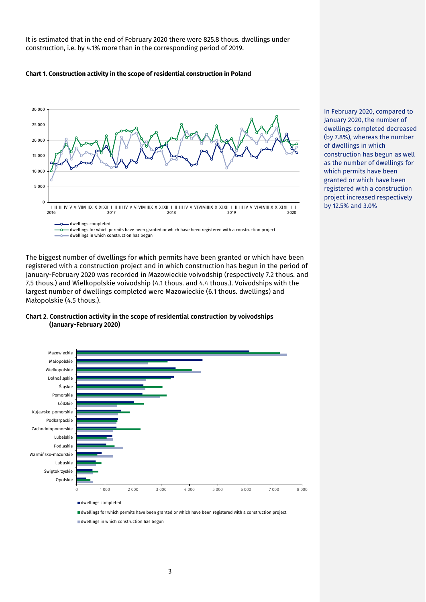It is estimated that in the end of February 2020 there were 825.8 thous. dwellings under construction, i.e. by 4.1% more than in the corresponding period of 2019.

#### **Chart 1. Construction activity in the scope of residential construction in Poland**



The biggest number of dwellings for which permits have been granted or which have been registered with a construction project and in which construction has begun in the period of January-February 2020 was recorded in Mazowieckie voivodship (respectively 7.2 thous. and 7.5 thous.) and Wielkopolskie voivodship (4.1 thous. and 4.4 thous.). Voivodships with the largest number of dwellings completed were Mazowieckie (6.1 thous. dwellings) and Małopolskie (4.5 thous.).



### **Chart 2. Construction activity in the scope of residential construction by voivodships (January-February 2020)**

dwellings completed

dwellings for which permits have been granted or which have been registered with a construction project

dwellings in which construction has begun

In February 2020, compared to January 2020, the number of dwellings completed decreased (by 7.8%), whereas the number of dwellings in which construction has begun as well as the number of dwellings for which permits have been granted or which have been registered with a construction project increased respectively by 12.5% and 3.0%